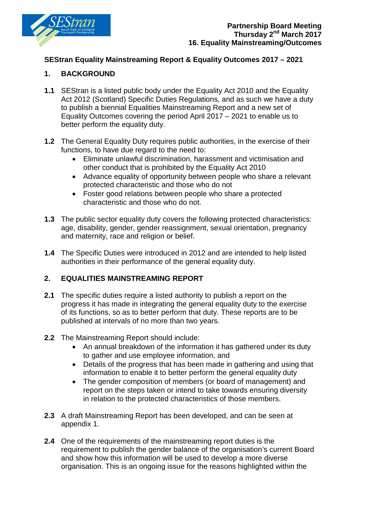

### **SEStran Equality Mainstreaming Report & Equality Outcomes 2017 – 2021**

### **1. BACKGROUND**

- **1.1** SEStran is a listed public body under the Equality Act 2010 and the Equality Act 2012 (Scotland) Specific Duties Regulations, and as such we have a duty to publish a biennial Equalities Mainstreaming Report and a new set of Equality Outcomes covering the period April 2017 – 2021 to enable us to better perform the equality duty.
- **1.2** The General Equality Duty requires public authorities, in the exercise of their functions, to have due regard to the need to:
	- Eliminate unlawful discrimination, harassment and victimisation and other conduct that is prohibited by the Equality Act 2010
	- Advance equality of opportunity between people who share a relevant protected characteristic and those who do not
	- Foster good relations between people who share a protected characteristic and those who do not.
- **1.3** The public sector equality duty covers the following protected characteristics: age, disability, gender, gender reassignment, sexual orientation, pregnancy and maternity, race and religion or belief.
- **1.4** The Specific Duties were introduced in 2012 and are intended to help listed authorities in their performance of the general equality duty.

### **2. EQUALITIES MAINSTREAMING REPORT**

- **2.1** The specific duties require a listed authority to publish a report on the progress it has made in integrating the general equality duty to the exercise of its functions, so as to better perform that duty. These reports are to be published at intervals of no more than two years.
- **2.2** The Mainstreaming Report should include:
	- An annual breakdown of the information it has gathered under its duty to gather and use employee information, and
	- Details of the progress that has been made in gathering and using that information to enable it to better perform the general equality duty
	- The gender composition of members (or board of management) and report on the steps taken or intend to take towards ensuring diversity in relation to the protected characteristics of those members.
- **2.3** A draft Mainstreaming Report has been developed, and can be seen at appendix 1.
- **2.4** One of the requirements of the mainstreaming report duties is the requirement to publish the gender balance of the organisation's current Board and show how this information will be used to develop a more diverse organisation. This is an ongoing issue for the reasons highlighted within the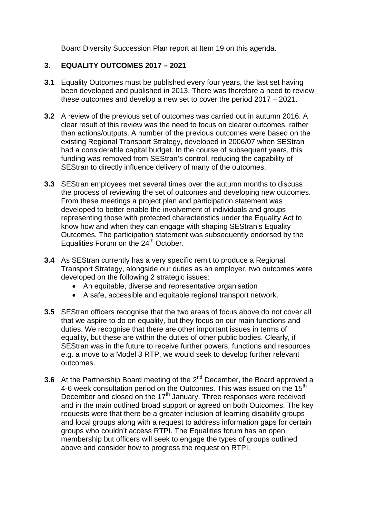Board Diversity Succession Plan report at Item 19 on this agenda.

### **3. EQUALITY OUTCOMES 2017 – 2021**

- **3.1** Equality Outcomes must be published every four years, the last set having been developed and published in 2013. There was therefore a need to review these outcomes and develop a new set to cover the period 2017 – 2021.
- **3.2** A review of the previous set of outcomes was carried out in autumn 2016. A clear result of this review was the need to focus on clearer outcomes, rather than actions/outputs. A number of the previous outcomes were based on the existing Regional Transport Strategy, developed in 2006/07 when SEStran had a considerable capital budget. In the course of subsequent years, this funding was removed from SEStran's control, reducing the capability of SEStran to directly influence delivery of many of the outcomes.
- **3.3** SEStran employees met several times over the autumn months to discuss the process of reviewing the set of outcomes and developing new outcomes. From these meetings a project plan and participation statement was developed to better enable the involvement of individuals and groups representing those with protected characteristics under the Equality Act to know how and when they can engage with shaping SEStran's Equality Outcomes. The participation statement was subsequently endorsed by the Equalities Forum on the 24<sup>th</sup> October.
- **3.4** As SEStran currently has a very specific remit to produce a Regional Transport Strategy, alongside our duties as an employer, two outcomes were developed on the following 2 strategic issues:
	- An equitable, diverse and representative organisation
	- A safe, accessible and equitable regional transport network.
- **3.5** SEStran officers recognise that the two areas of focus above do not cover all that we aspire to do on equality, but they focus on our main functions and duties. We recognise that there are other important issues in terms of equality, but these are within the duties of other public bodies. Clearly, if SEStran was in the future to receive further powers, functions and resources e.g. a move to a Model 3 RTP, we would seek to develop further relevant outcomes.
- **3.6** At the Partnership Board meeting of the 2<sup>nd</sup> December, the Board approved a 4-6 week consultation period on the Outcomes. This was issued on the 15<sup>th</sup> December and closed on the  $17<sup>th</sup>$  January. Three responses were received and in the main outlined broad support or agreed on both Outcomes. The key requests were that there be a greater inclusion of learning disability groups and local groups along with a request to address information gaps for certain groups who couldn't access RTPI. The Equalities forum has an open membership but officers will seek to engage the types of groups outlined above and consider how to progress the request on RTPI.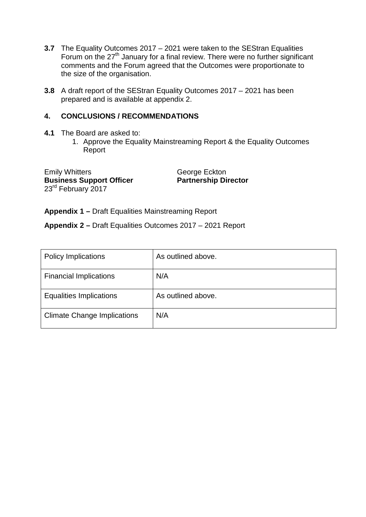- **3.7** The Equality Outcomes 2017 2021 were taken to the SEStran Equalities Forum on the 27<sup>th</sup> January for a final review. There were no further significant comments and the Forum agreed that the Outcomes were proportionate to the size of the organisation.
- **3.8** A draft report of the SEStran Equality Outcomes 2017 2021 has been prepared and is available at appendix 2.

### **4. CONCLUSIONS / RECOMMENDATIONS**

- **4.1** The Board are asked to:
	- 1. Approve the Equality Mainstreaming Report & the Equality Outcomes Report

Emily Whitters<br> **Business Support Officer**<br> **CENTER BUSINESS**<br> **Business Support Officer**<br> **CENTER BUSINESS Business Support Officer** 23<sup>rd</sup> February 2017

**Appendix 1 –** Draft Equalities Mainstreaming Report

**Appendix 2 –** Draft Equalities Outcomes 2017 – 2021 Report

| <b>Policy Implications</b>         | As outlined above. |
|------------------------------------|--------------------|
| <b>Financial Implications</b>      | N/A                |
| <b>Equalities Implications</b>     | As outlined above. |
| <b>Climate Change Implications</b> | N/A                |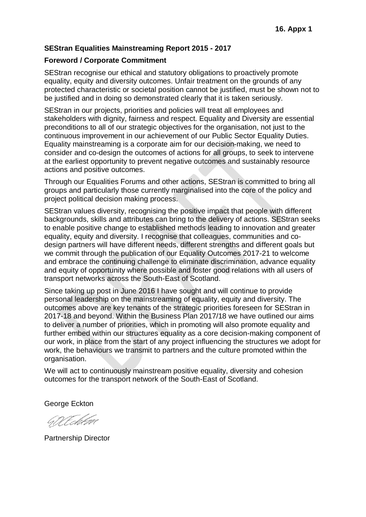### **SEStran Equalities Mainstreaming Report 2015 - 2017**

#### **Foreword / Corporate Commitment**

SEStran recognise our ethical and statutory obligations to proactively promote equality, equity and diversity outcomes. Unfair treatment on the grounds of any protected characteristic or societal position cannot be justified, must be shown not to be justified and in doing so demonstrated clearly that it is taken seriously.

SEStran in our projects, priorities and policies will treat all employees and stakeholders with dignity, fairness and respect. Equality and Diversity are essential preconditions to all of our strategic objectives for the organisation, not just to the continuous improvement in our achievement of our Public Sector Equality Duties. Equality mainstreaming is a corporate aim for our decision-making, we need to consider and co-design the outcomes of actions for all groups, to seek to intervene at the earliest opportunity to prevent negative outcomes and sustainably resource actions and positive outcomes.

Through our Equalities Forums and other actions, SEStran is committed to bring all groups and particularly those currently marginalised into the core of the policy and project political decision making process.

SEStran values diversity, recognising the positive impact that people with different backgrounds, skills and attributes can bring to the delivery of actions. SEStran seeks to enable positive change to established methods leading to innovation and greater equality, equity and diversity. I recognise that colleagues, communities and codesign partners will have different needs, different strengths and different goals but we commit through the publication of our Equality Outcomes 2017-21 to welcome and embrace the continuing challenge to eliminate discrimination, advance equality and equity of opportunity where possible and foster good relations with all users of transport networks across the South-East of Scotland.

Since taking up post in June 2016 I have sought and will continue to provide personal leadership on the mainstreaming of equality, equity and diversity. The outcomes above are key tenants of the strategic priorities foreseen for SEStran in 2017-18 and beyond. Within the Business Plan 2017/18 we have outlined our aims to deliver a number of priorities, which in promoting will also promote equality and further embed within our structures equality as a core decision-making component of our work, in place from the start of any project influencing the structures we adopt for work, the behaviours we transmit to partners and the culture promoted within the organisation.

We will act to continuously mainstream positive equality, diversity and cohesion outcomes for the transport network of the South-East of Scotland.

George Eckton

GIV Echter

Partnership Director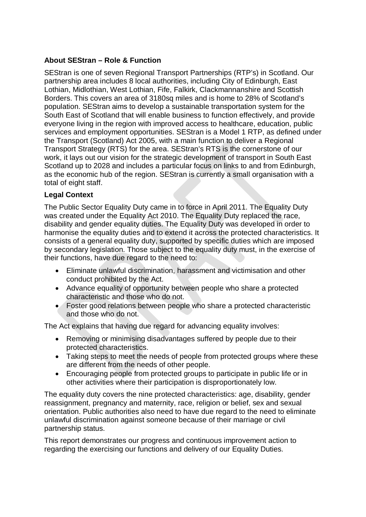# **About SEStran – Role & Function**

SEStran is one of seven Regional Transport Partnerships (RTP's) in Scotland. Our partnership area includes 8 local authorities, including City of Edinburgh, East Lothian, Midlothian, West Lothian, Fife, Falkirk, Clackmannanshire and Scottish Borders. This covers an area of 3180sq miles and is home to 28% of Scotland's population. SEStran aims to develop a sustainable transportation system for the South East of Scotland that will enable business to function effectively, and provide everyone living in the region with improved access to healthcare, education, public services and employment opportunities. SEStran is a Model 1 RTP, as defined under the Transport (Scotland) Act 2005, with a main function to deliver a Regional Transport Strategy (RTS) for the area. SEStran's RTS is the cornerstone of our work, it lays out our vision for the strategic development of transport in South East Scotland up to 2028 and includes a particular focus on links to and from Edinburgh, as the economic hub of the region. SEStran is currently a small organisation with a total of eight staff.

### **Legal Context**

The Public Sector Equality Duty came in to force in April 2011. The Equality Duty was created under the Equality Act 2010. The Equality Duty replaced the race, disability and gender equality duties. The Equality Duty was developed in order to harmonise the equality duties and to extend it across the protected characteristics. It consists of a general equality duty, supported by specific duties which are imposed by secondary legislation. Those subject to the equality duty must, in the exercise of their functions, have due regard to the need to:

- Eliminate unlawful discrimination, harassment and victimisation and other conduct prohibited by the Act.
- Advance equality of opportunity between people who share a protected characteristic and those who do not.
- Foster good relations between people who share a protected characteristic and those who do not.

The Act explains that having due regard for advancing equality involves:

- Removing or minimising disadvantages suffered by people due to their protected characteristics.
- Taking steps to meet the needs of people from protected groups where these are different from the needs of other people.
- Encouraging people from protected groups to participate in public life or in other activities where their participation is disproportionately low.

The equality duty covers the nine protected characteristics: age, disability, gender reassignment, pregnancy and maternity, race, religion or belief, sex and sexual orientation. Public authorities also need to have due regard to the need to eliminate unlawful discrimination against someone because of their marriage or civil partnership status.

This report demonstrates our progress and continuous improvement action to regarding the exercising our functions and delivery of our Equality Duties.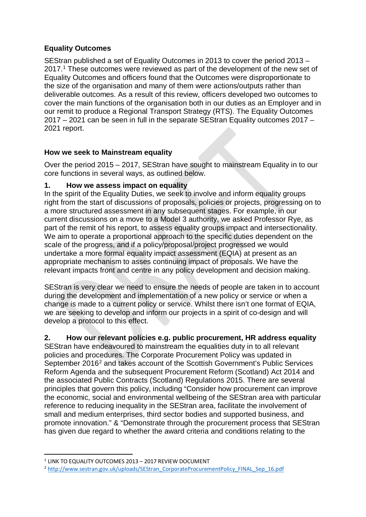# **Equality Outcomes**

SEStran published a set of Equality Outcomes in 2013 to cover the period 2013 – 2017.<sup>1</sup> These outcomes were reviewed as part of the development of the new set of Equality Outcomes and officers found that the Outcomes were disproportionate to the size of the organisation and many of them were actions/outputs rather than deliverable outcomes. As a result of this review, officers developed two outcomes to cover the main functions of the organisation both in our duties as an Employer and in our remit to produce a Regional Transport Strategy (RTS). The Equality Outcomes 2017 – 2021 can be seen in full in the separate SEStran Equality outcomes 2017 – 2021 report.

# **How we seek to Mainstream equality**

Over the period 2015 – 2017, SEStran have sought to mainstream Equality in to our core functions in several ways, as outlined below.

### **1. How we assess impact on equality**

In the spirit of the Equality Duties, we seek to involve and inform equality groups right from the start of discussions of proposals, policies or projects, progressing on to a more structured assessment in any subsequent stages. For example, in our current discussions on a move to a Model 3 authority, we asked Professor Rye, as part of the remit of his report, to assess equality groups impact and intersectionality. We aim to operate a proportional approach to the specific duties dependent on the scale of the progress, and if a policy/proposal/project progressed we would undertake a more formal equality impact assessment (EQIA) at present as an appropriate mechanism to asses continuing impact of proposals. We have the relevant impacts front and centre in any policy development and decision making.

SEStran is very clear we need to ensure the needs of people are taken in to account during the development and implementation of a new policy or service or when a change is made to a current policy or service. Whilst there isn't one format of EQIA, we are seeking to develop and inform our projects in a spirit of co-design and will develop a protocol to this effect.

# **2. How our relevant policies e.g. public procurement, HR address equality**

SEStran have endeavoured to mainstream the equalities duty in to all relevant policies and procedures. The Corporate Procurement Policy was updated in September [2](#page-5-1)016<sup>2</sup> and takes account of the Scottish Government's Public Services Reform Agenda and the subsequent Procurement Reform (Scotland) Act 2014 and the associated Public Contracts (Scotland) Regulations 2015. There are several principles that govern this policy, including "Consider how procurement can improve the economic, social and environmental wellbeing of the SEStran area with particular reference to reducing inequality in the SEStran area, facilitate the involvement of small and medium enterprises, third sector bodies and supported business, and promote innovation." & "Demonstrate through the procurement process that SEStran has given due regard to whether the award criteria and conditions relating to the

<span id="page-5-0"></span> $1$  LINK TO EQUALITY OUTCOMES 2013 – 2017 REVIEW DOCUMENT

<span id="page-5-1"></span><sup>&</sup>lt;sup>2</sup> http://www.sestran.gov.uk/uploads/SEStran\_CorporateProcurementPolicy\_FINAL\_Sep\_16.pdf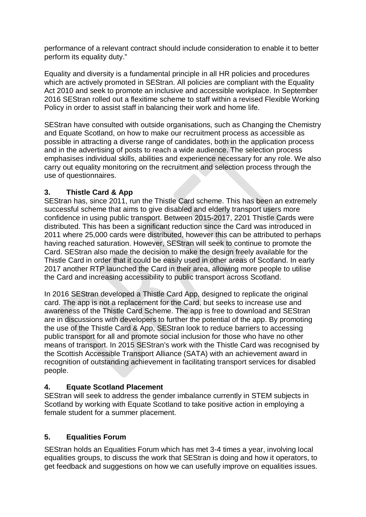performance of a relevant contract should include consideration to enable it to better perform its equality duty."

Equality and diversity is a fundamental principle in all HR policies and procedures which are actively promoted in SEStran. All policies are compliant with the Equality Act 2010 and seek to promote an inclusive and accessible workplace. In September 2016 SEStran rolled out a flexitime scheme to staff within a revised Flexible Working Policy in order to assist staff in balancing their work and home life.

SEStran have consulted with outside organisations, such as Changing the Chemistry and Equate Scotland, on how to make our recruitment process as accessible as possible in attracting a diverse range of candidates, both in the application process and in the advertising of posts to reach a wide audience. The selection process emphasises individual skills, abilities and experience necessary for any role. We also carry out equality monitoring on the recruitment and selection process through the use of questionnaires.

### **3. Thistle Card & App**

SEStran has, since 2011, run the Thistle Card scheme. This has been an extremely successful scheme that aims to give disabled and elderly transport users more confidence in using public transport. Between 2015-2017, 2201 Thistle Cards were distributed. This has been a significant reduction since the Card was introduced in 2011 where 25,000 cards were distributed, however this can be attributed to perhaps having reached saturation. However, SEStran will seek to continue to promote the Card. SEStran also made the decision to make the design freely available for the Thistle Card in order that it could be easily used in other areas of Scotland. In early 2017 another RTP launched the Card in their area, allowing more people to utilise the Card and increasing accessibility to public transport across Scotland.

In 2016 SEStran developed a Thistle Card App, designed to replicate the original card. The app is not a replacement for the Card, but seeks to increase use and awareness of the Thistle Card Scheme. The app is free to download and SEStran are in discussions with developers to further the potential of the app. By promoting the use of the Thistle Card & App, SEStran look to reduce barriers to accessing public transport for all and promote social inclusion for those who have no other means of transport. In 2015 SEStran's work with the Thistle Card was recognised by the Scottish Accessible Transport Alliance (SATA) with an achievement award in recognition of outstanding achievement in facilitating transport services for disabled people.

### **4. Equate Scotland Placement**

SEStran will seek to address the gender imbalance currently in STEM subjects in Scotland by working with Equate Scotland to take positive action in employing a female student for a summer placement.

### **5. Equalities Forum**

SEStran holds an Equalities Forum which has met 3-4 times a year, involving local equalities groups, to discuss the work that SEStran is doing and how it operators, to get feedback and suggestions on how we can usefully improve on equalities issues.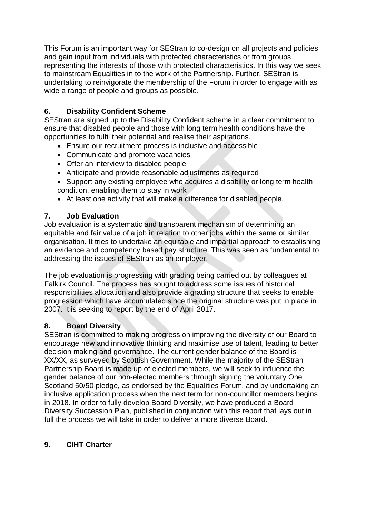This Forum is an important way for SEStran to co-design on all projects and policies and gain input from individuals with protected characteristics or from groups representing the interests of those with protected characteristics. In this way we seek to mainstream Equalities in to the work of the Partnership. Further, SEStran is undertaking to reinvigorate the membership of the Forum in order to engage with as wide a range of people and groups as possible.

# **6. Disability Confident Scheme**

SEStran are signed up to the Disability Confident scheme in a clear commitment to ensure that disabled people and those with long term health conditions have the opportunities to fulfil their potential and realise their aspirations.

- Ensure our recruitment process is inclusive and accessible
- Communicate and promote vacancies
- Offer an interview to disabled people
- Anticipate and provide reasonable adjustments as required
- Support any existing employee who acquires a disability or long term health condition, enabling them to stay in work
- At least one activity that will make a difference for disabled people.

# **7. Job Evaluation**

Job evaluation is a systematic and transparent mechanism of determining an equitable and fair value of a job in relation to other jobs within the same or similar organisation. It tries to undertake an equitable and impartial approach to establishing an evidence and competency based pay structure. This was seen as fundamental to addressing the issues of SEStran as an employer.

The job evaluation is progressing with grading being carried out by colleagues at Falkirk Council. The process has sought to address some issues of historical responsibilities allocation and also provide a grading structure that seeks to enable progression which have accumulated since the original structure was put in place in 2007. It is seeking to report by the end of April 2017.

# **8. Board Diversity**

SEStran is committed to making progress on improving the diversity of our Board to encourage new and innovative thinking and maximise use of talent, leading to better decision making and governance. The current gender balance of the Board is XX/XX, as surveyed by Scottish Government. While the majority of the SEStran Partnership Board is made up of elected members, we will seek to influence the gender balance of our non-elected members through signing the voluntary One Scotland 50/50 pledge, as endorsed by the Equalities Forum, and by undertaking an inclusive application process when the next term for non-councillor members begins in 2018. In order to fully develop Board Diversity, we have produced a Board Diversity Succession Plan, published in conjunction with this report that lays out in full the process we will take in order to deliver a more diverse Board.

# **9. CIHT Charter**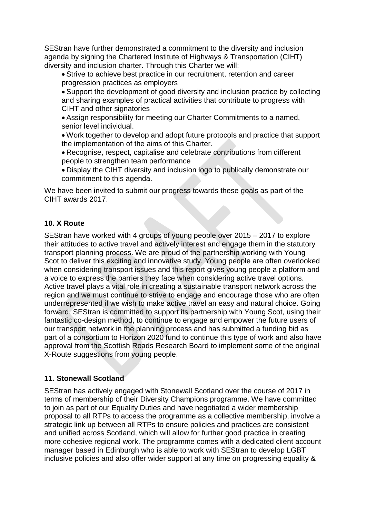SEStran have further demonstrated a commitment to the diversity and inclusion agenda by signing the Chartered Institute of Highways & Transportation (CIHT) diversity and inclusion charter. Through this Charter we will:

• Strive to achieve best practice in our recruitment, retention and career progression practices as employers

• Support the development of good diversity and inclusion practice by collecting and sharing examples of practical activities that contribute to progress with CIHT and other signatories

• Assign responsibility for meeting our Charter Commitments to a named, senior level individual.

• Work together to develop and adopt future protocols and practice that support the implementation of the aims of this Charter.

• Recognise, respect, capitalise and celebrate contributions from different people to strengthen team performance

• Display the CIHT diversity and inclusion logo to publically demonstrate our commitment to this agenda.

We have been invited to submit our progress towards these goals as part of the CIHT awards 2017.

### **10. X Route**

SEStran have worked with 4 groups of young people over 2015 – 2017 to explore their attitudes to active travel and actively interest and engage them in the statutory transport planning process. We are proud of the partnership working with Young Scot to deliver this exciting and innovative study. Young people are often overlooked when considering transport issues and this report gives young people a platform and a voice to express the barriers they face when considering active travel options. Active travel plays a vital role in creating a sustainable transport network across the region and we must continue to strive to engage and encourage those who are often underrepresented if we wish to make active travel an easy and natural choice. Going forward, SEStran is committed to support its partnership with Young Scot, using their fantastic co-design method, to continue to engage and empower the future users of our transport network in the planning process and has submitted a funding bid as part of a consortium to Horizon 2020 fund to continue this type of work and also have approval from the Scottish Roads Research Board to implement some of the original X-Route suggestions from young people.

### **11. Stonewall Scotland**

SEStran has actively engaged with Stonewall Scotland over the course of 2017 in terms of membership of their Diversity Champions programme. We have committed to join as part of our Equality Duties and have negotiated a wider membership proposal to all RTPs to access the programme as a collective membership, involve a strategic link up between all RTPs to ensure policies and practices are consistent and unified across Scotland, which will allow for further good practice in creating more cohesive regional work. The programme comes with a dedicated client account manager based in Edinburgh who is able to work with SEStran to develop LGBT inclusive policies and also offer wider support at any time on progressing equality &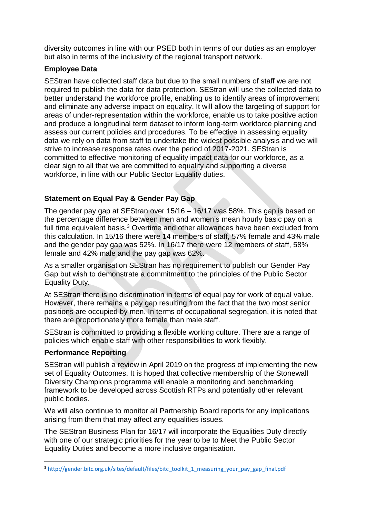diversity outcomes in line with our PSED both in terms of our duties as an employer but also in terms of the inclusivity of the regional transport network.

### **Employee Data**

SEStran have collected staff data but due to the small numbers of staff we are not required to publish the data for data protection. SEStran will use the collected data to better understand the workforce profile, enabling us to identify areas of improvement and eliminate any adverse impact on equality. It will allow the targeting of support for areas of under-representation within the workforce, enable us to take positive action and produce a longitudinal term dataset to inform long-term workforce planning and assess our current policies and procedures. To be effective in assessing equality data we rely on data from staff to undertake the widest possible analysis and we will strive to increase response rates over the period of 2017-2021. SEStran is committed to effective monitoring of equality impact data for our workforce, as a clear sign to all that we are committed to equality and supporting a diverse workforce, in line with our Public Sector Equality duties.

# **Statement on Equal Pay & Gender Pay Gap**

The gender pay gap at SEStran over 15/16 – 16/17 was 58%. This gap is based on the percentage difference between men and women's mean hourly basic pay on a full time equivalent basis.<sup>[3](#page-9-0)</sup> Overtime and other allowances have been excluded from this calculation. In 15/16 there were 14 members of staff, 57% female and 43% male and the gender pay gap was 52%. In 16/17 there were 12 members of staff, 58% female and 42% male and the pay gap was 62%.

As a smaller organisation SEStran has no requirement to publish our Gender Pay Gap but wish to demonstrate a commitment to the principles of the Public Sector Equality Duty.

At SEStran there is no discrimination in terms of equal pay for work of equal value. However, there remains a pay gap resulting from the fact that the two most senior positions are occupied by men. In terms of occupational segregation, it is noted that there are proportionately more female than male staff.

SEStran is committed to providing a flexible working culture. There are a range of policies which enable staff with other responsibilities to work flexibly.

### **Performance Reporting**

SEStran will publish a review in April 2019 on the progress of implementing the new set of Equality Outcomes. It is hoped that collective membership of the Stonewall Diversity Champions programme will enable a monitoring and benchmarking framework to be developed across Scottish RTPs and potentially other relevant public bodies.

We will also continue to monitor all Partnership Board reports for any implications arising from them that may affect any equalities issues.

The SEStran Business Plan for 16/17 will incorporate the Equalities Duty directly with one of our strategic priorities for the year to be to Meet the Public Sector Equality Duties and become a more inclusive organisation.

<span id="page-9-0"></span><sup>&</sup>lt;sup>3</sup> http://gender.bitc.org.uk/sites/default/files/bitc\_toolkit\_1\_measuring\_your\_pay\_gap\_final.pdf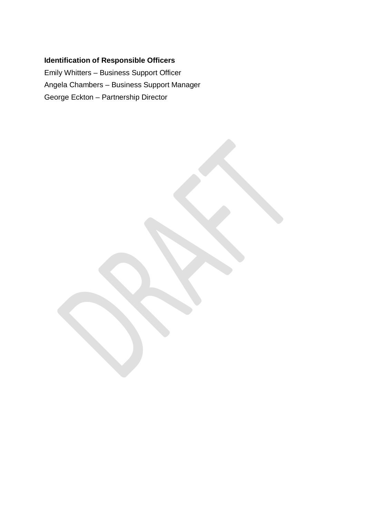# **Identification of Responsible Officers**

Emily Whitters – Business Support Officer Angela Chambers – Business Support Manager George Eckton – Partnership Director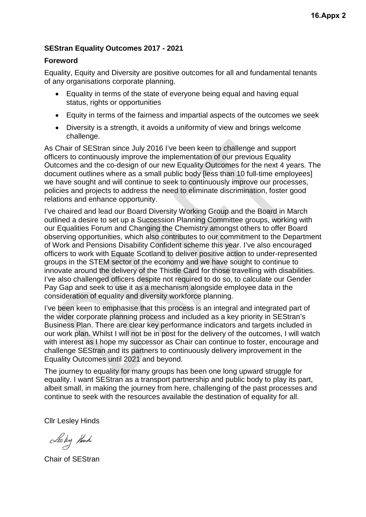### **SEStran Equality Outcomes 2017 - 2021**

### **Foreword**

Equality, Equity and Diversity are positive outcomes for all and fundamental tenants of any organisations corporate planning.

- Equality in terms of the state of everyone being equal and having equal status, rights or opportunities
- Equity in terms of the fairness and impartial aspects of the outcomes we seek
- Diversity is a strength, it avoids a uniformity of view and brings welcome challenge.

As Chair of SEStran since July 2016 I've been keen to challenge and support officers to continuously improve the implementation of our previous Equality Outcomes and the co-design of our new Equality Outcomes for the next 4 years. The document outlines where as a small public body [less than 10 full-time employees] we have sought and will continue to seek to continuously improve our processes, policies and projects to address the need to eliminate discrimination, foster good relations and enhance opportunity.

I've chaired and lead our Board Diversity Working Group and the Board in March outlined a desire to set up a Succession Planning Committee groups, working with our Equalities Forum and Changing the Chemistry amongst others to offer Board observing opportunities, which also contributes to our commitment to the Department of Work and Pensions Disability Confident scheme this year. I've also encouraged officers to work with Equate Scotland to deliver positive action to under-represented groups in the STEM sector of the economy and we have sought to continue to innovate around the delivery of the Thistle Card for those travelling with disabilities. I've also challenged officers despite not required to do so, to calculate our Gender Pay Gap and seek to use it as a mechanism alongside employee data in the consideration of equality and diversity workforce planning.

I've been keen to emphasise that this process is an integral and integrated part of the wider corporate planning process and included as a key priority in SEStran's Business Plan. There are clear key performance indicators and targets included in our work plan. Whilst I will not be in post for the delivery of the outcomes, I will watch with interest as I hope my successor as Chair can continue to foster, encourage and challenge SEStran and its partners to continuously delivery improvement in the Equality Outcomes until 2021 and beyond.

The journey to equality for many groups has been one long upward struggle for equality. I want SEStran as a transport partnership and public body to play its part, albeit small, in making the journey from here, challenging of the past processes and continue to seek with the resources available the destination of equality for all.

Cllr Lesley Hinds

Lesly think

Chair of SEStran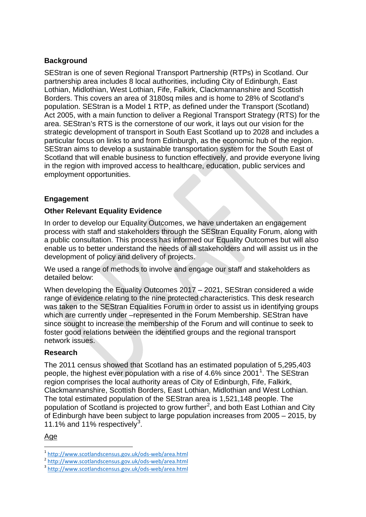### **Background**

SEStran is one of seven Regional Transport Partnership (RTPs) in Scotland. Our partnership area includes 8 local authorities, including City of Edinburgh, East Lothian, Midlothian, West Lothian, Fife, Falkirk, Clackmannanshire and Scottish Borders. This covers an area of 3180sq miles and is home to 28% of Scotland's population. SEStran is a Model 1 RTP, as defined under the Transport (Scotland) Act 2005, with a main function to deliver a Regional Transport Strategy (RTS) for the area. SEStran's RTS is the cornerstone of our work, it lays out our vision for the strategic development of transport in South East Scotland up to 2028 and includes a particular focus on links to and from Edinburgh, as the economic hub of the region. SEStran aims to develop a sustainable transportation system for the South East of Scotland that will enable business to function effectively, and provide everyone living in the region with improved access to healthcare, education, public services and employment opportunities.

### **Engagement**

### **Other Relevant Equality Evidence**

In order to develop our Equality Outcomes, we have undertaken an engagement process with staff and stakeholders through the SEStran Equality Forum, along with a public consultation. This process has informed our Equality Outcomes but will also enable us to better understand the needs of all stakeholders and will assist us in the development of policy and delivery of projects.

We used a range of methods to involve and engage our staff and stakeholders as detailed below:

When developing the Equality Outcomes 2017 – 2021, SEStran considered a wide range of evidence relating to the nine protected characteristics. This desk research was taken to the SEStran Equalities Forum in order to assist us in identifying groups which are currently under –represented in the Forum Membership. SEStran have since sought to increase the membership of the Forum and will continue to seek to foster good relations between the identified groups and the regional transport network issues.

### **Research**

The 2011 census showed that Scotland has an estimated population of 5,295,403 people, the highest ever population with a rise of 4.6% since 200[1](#page-12-0)<sup>1</sup>. The SEStran region comprises the local authority areas of City of Edinburgh, Fife, Falkirk, Clackmannanshire, Scottish Borders, East Lothian, Midlothian and West Lothian. The total estimated population of the SEStran area is 1,521,148 people. The population of Scotland is projected to grow further<sup>[2](#page-12-1)</sup>, and both East Lothian and City of Edinburgh have been subject to large population increases from 2005 – 2015, by 11.1% and 11% respectively<sup>[3](#page-12-2)</sup>.

### Age

<span id="page-12-1"></span><span id="page-12-0"></span><sup>1</sup> <http://www.scotlandscensus.gov.uk/ods-web/area.html><br>
<sup>2</sup> http://www.scotlandscensus.gov.uk/ods-web/area.html<br>
<sup>3</sup> http://www.scotlan<u>dscensus.gov.uk/ods-web/area.html</u>

<span id="page-12-2"></span>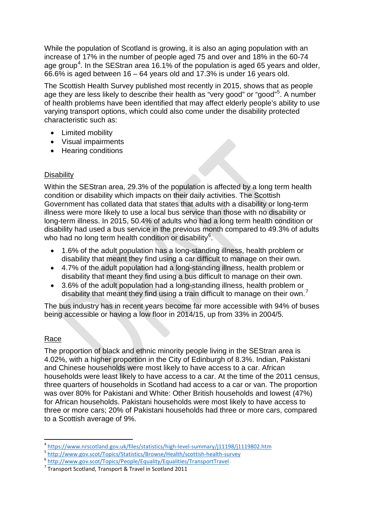While the population of Scotland is growing, it is also an aging population with an increase of 17% in the number of people aged 75 and over and 18% in the 60-74 age group<sup>[4](#page-13-0)</sup>. In the SEStran area 16.1% of the population is aged 65 years and older, 66.6% is aged between 16 – 64 years old and 17.3% is under 16 years old.

The Scottish Health Survey published most recently in 2015, shows that as people age they are less likely to describe their health as "very good" or "good"<sup>[5](#page-13-1)</sup>. A number of health problems have been identified that may affect elderly people's ability to use varying transport options, which could also come under the disability protected characteristic such as:

- Limited mobility
- Visual impairments
- Hearing conditions

### **Disability**

Within the SEStran area, 29.3% of the population is affected by a long term health condition or disability which impacts on their daily activities. The Scottish Government has collated data that states that adults with a disability or long-term illness were more likely to use a local bus service than those with no disability or long-term illness. In 2015, 50.4% of adults who had a long term health condition or disability had used a bus service in the previous month compared to 49.3% of adults who had no long term health condition or disability<sup>[6](#page-13-2)</sup>.

- 1.6% of the adult population has a long-standing illness, health problem or disability that meant they find using a car difficult to manage on their own.
- 4.7% of the adult population had a long-standing illness, health problem or disability that meant they find using a bus difficult to manage on their own.
- 3.6% of the adult population had a long-standing illness, health problem or disability that meant they find using a train difficult to manage on their own.<sup>[7](#page-13-3)</sup>

The bus industry has in recent years become far more accessible with 94% of buses being accessible or having a low floor in 2014/15, up from 33% in 2004/5.

### Race

The proportion of black and ethnic minority people living in the SEStran area is 4.02%, with a higher proportion in the City of Edinburgh of 8.3%. Indian, Pakistani and Chinese households were most likely to have access to a car. African households were least likely to have access to a car. At the time of the 2011 census, three quarters of households in Scotland had access to a car or van. The proportion was over 80% for Pakistani and White: Other British households and lowest (47%) for African households. Pakistani households were most likely to have access to three or more cars; 20% of Pakistani households had three or more cars, compared to a Scottish average of 9%.

<span id="page-13-0"></span><sup>4</sup> <https://www.nrscotland.gov.uk/files/statistics/high-level-summary/j11198/j1119802.htm><br>
5 http://www.gov.scot/Topics/Statistics/Browse/Health/scottish-health-survey<br>
6 http://www.gov.scot/Topics/People/Equality/Equalities

<span id="page-13-1"></span>

<span id="page-13-2"></span>

<span id="page-13-3"></span>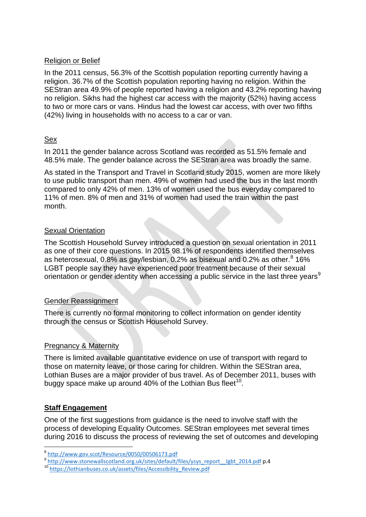### Religion or Belief

In the 2011 census, 56.3% of the Scottish population reporting currently having a religion. 36.7% of the Scottish population reporting having no religion. Within the SEStran area 49.9% of people reported having a religion and 43.2% reporting having no religion. Sikhs had the highest car access with the majority (52%) having access to two or more cars or vans. Hindus had the lowest car access, with over two fifths (42%) living in households with no access to a car or van.

### Sex

In 2011 the gender balance across Scotland was recorded as 51.5% female and 48.5% male. The gender balance across the SEStran area was broadly the same.

As stated in the Transport and Travel in Scotland study 2015, women are more likely to use public transport than men. 49% of women had used the bus in the last month compared to only 42% of men. 13% of women used the bus everyday compared to 11% of men. 8% of men and 31% of women had used the train within the past month.

### Sexual Orientation

The Scottish Household Survey introduced a question on sexual orientation in 2011 as one of their core questions. In 2015 98.1% of respondents identified themselves as heterosexual, 0.[8](#page-14-0)% as gay/lesbian, 0.2% as bisexual and 0.2% as other. $8\,$  16% LGBT people say they have experienced poor treatment because of their sexual orientation or gender identity when accessing a public service in the last three years<sup>[9](#page-14-1)</sup>

### Gender Reassignment

There is currently no formal monitoring to collect information on gender identity through the census or Scottish Household Survey.

### Pregnancy & Maternity

There is limited available quantitative evidence on use of transport with regard to those on maternity leave, or those caring for children. Within the SEStran area, Lothian Buses are a major provider of bus travel. As of December 2011, buses with buggy space make up around 40% of the Lothian Bus fleet<sup>10</sup>.

### **Staff Engagement**

One of the first suggestions from guidance is the need to involve staff with the process of developing Equality Outcomes. SEStran employees met several times during 2016 to discuss the process of reviewing the set of outcomes and developing

<span id="page-14-1"></span><span id="page-14-0"></span> $\frac{\text{9} \text{http://www.gov.scot/Resource/0050/00506173.pdf}}{\text{http://www.stonewallscotland.org.uk/sites/default/files/ysys\_report_ light_2014.pdf}}$  p.4 10 http://lothianbuses.co.uk/assets/files/Accessibility\_Review.pdf

<span id="page-14-2"></span>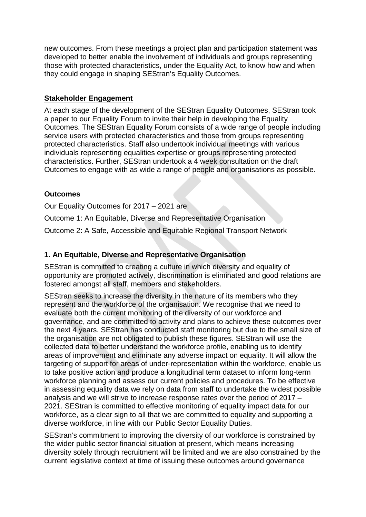new outcomes. From these meetings a project plan and participation statement was developed to better enable the involvement of individuals and groups representing those with protected characteristics, under the Equality Act, to know how and when they could engage in shaping SEStran's Equality Outcomes.

### **Stakeholder Engagement**

At each stage of the development of the SEStran Equality Outcomes, SEStran took a paper to our Equality Forum to invite their help in developing the Equality Outcomes. The SEStran Equality Forum consists of a wide range of people including service users with protected characteristics and those from groups representing protected characteristics. Staff also undertook individual meetings with various individuals representing equalities expertise or groups representing protected characteristics. Further, SEStran undertook a 4 week consultation on the draft Outcomes to engage with as wide a range of people and organisations as possible.

### **Outcomes**

Our Equality Outcomes for 2017 – 2021 are:

Outcome 1: An Equitable, Diverse and Representative Organisation

Outcome 2: A Safe, Accessible and Equitable Regional Transport Network

# **1. An Equitable, Diverse and Representative Organisation**

SEStran is committed to creating a culture in which diversity and equality of opportunity are promoted actively, discrimination is eliminated and good relations are fostered amongst all staff, members and stakeholders.

SEStran seeks to increase the diversity in the nature of its members who they represent and the workforce of the organisation. We recognise that we need to evaluate both the current monitoring of the diversity of our workforce and governance, and are committed to activity and plans to achieve these outcomes over the next 4 years. SEStran has conducted staff monitoring but due to the small size of the organisation are not obligated to publish these figures. SEStran will use the collected data to better understand the workforce profile, enabling us to identify areas of improvement and eliminate any adverse impact on equality. It will allow the targeting of support for areas of under-representation within the workforce, enable us to take positive action and produce a longitudinal term dataset to inform long-term workforce planning and assess our current policies and procedures. To be effective in assessing equality data we rely on data from staff to undertake the widest possible analysis and we will strive to increase response rates over the period of 2017 – 2021. SEStran is committed to effective monitoring of equality impact data for our workforce, as a clear sign to all that we are committed to equality and supporting a diverse workforce, in line with our Public Sector Equality Duties.

SEStran's commitment to improving the diversity of our workforce is constrained by the wider public sector financial situation at present, which means increasing diversity solely through recruitment will be limited and we are also constrained by the current legislative context at time of issuing these outcomes around governance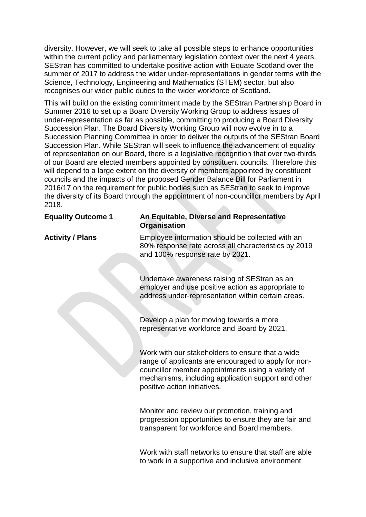diversity. However, we will seek to take all possible steps to enhance opportunities within the current policy and parliamentary legislation context over the next 4 years. SEStran has committed to undertake positive action with Equate Scotland over the summer of 2017 to address the wider under-representations in gender terms with the Science, Technology, Engineering and Mathematics (STEM) sector, but also recognises our wider public duties to the wider workforce of Scotland.

This will build on the existing commitment made by the SEStran Partnership Board in Summer 2016 to set up a Board Diversity Working Group to address issues of under-representation as far as possible, committing to producing a Board Diversity Succession Plan. The Board Diversity Working Group will now evolve in to a Succession Planning Committee in order to deliver the outputs of the SEStran Board Succession Plan. While SEStran will seek to influence the advancement of equality of representation on our Board, there is a legislative recognition that over two-thirds of our Board are elected members appointed by constituent councils. Therefore this will depend to a large extent on the diversity of members appointed by constituent councils and the impacts of the proposed Gender Balance Bill for Parliament in 2016/17 on the requirement for public bodies such as SEStran to seek to improve the diversity of its Board through the appointment of non-councillor members by April 2018.

### **Equality Outcome 1 An Equitable, Diverse and Representative Organisation**

**Activity / Plans** Employee information should be collected with an 80% response rate across all characteristics by 2019 and 100% response rate by 2021.

> Undertake awareness raising of SEStran as an employer and use positive action as appropriate to address under-representation within certain areas.

Develop a plan for moving towards a more representative workforce and Board by 2021.

Work with our stakeholders to ensure that a wide range of applicants are encouraged to apply for noncouncillor member appointments using a variety of mechanisms, including application support and other positive action initiatives.

Monitor and review our promotion, training and progression opportunities to ensure they are fair and transparent for workforce and Board members.

Work with staff networks to ensure that staff are able to work in a supportive and inclusive environment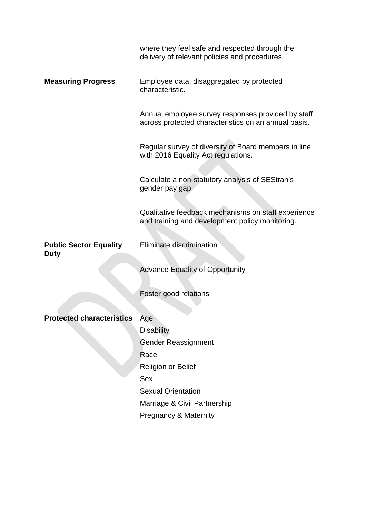|                               | where they feel safe and respected through the<br>delivery of relevant policies and procedures.            |
|-------------------------------|------------------------------------------------------------------------------------------------------------|
| <b>Measuring Progress</b>     | Employee data, disaggregated by protected<br>characteristic.                                               |
|                               | Annual employee survey responses provided by staff<br>across protected characteristics on an annual basis. |
|                               | Regular survey of diversity of Board members in line<br>with 2016 Equality Act regulations.                |
|                               | Calculate a non-statutory analysis of SEStran's<br>gender pay gap.                                         |
|                               | Qualitative feedback mechanisms on staff experience<br>and training and development policy monitoring.     |
| <b>Public Sector Equality</b> | Eliminate discrimination                                                                                   |
| <b>Duty</b>                   |                                                                                                            |
|                               | <b>Advance Equality of Opportunity</b>                                                                     |
|                               | Foster good relations                                                                                      |
|                               |                                                                                                            |
| Protected characteristics     | Age                                                                                                        |
|                               | <b>Disability</b>                                                                                          |
|                               | <b>Gender Reassignment</b>                                                                                 |
|                               | Race                                                                                                       |
|                               | Religion or Belief<br><b>Sex</b>                                                                           |
|                               | <b>Sexual Orientation</b>                                                                                  |
|                               | Marriage & Civil Partnership                                                                               |
|                               | <b>Pregnancy &amp; Maternity</b>                                                                           |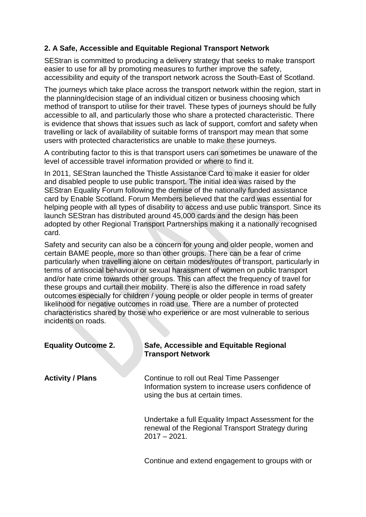# **2. A Safe, Accessible and Equitable Regional Transport Network**

SEStran is committed to producing a delivery strategy that seeks to make transport easier to use for all by promoting measures to further improve the safety, accessibility and equity of the transport network across the South-East of Scotland.

The journeys which take place across the transport network within the region, start in the planning/decision stage of an individual citizen or business choosing which method of transport to utilise for their travel. These types of journeys should be fully accessible to all, and particularly those who share a protected characteristic. There is evidence that shows that issues such as lack of support, comfort and safety when travelling or lack of availability of suitable forms of transport may mean that some users with protected characteristics are unable to make these journeys.

A contributing factor to this is that transport users can sometimes be unaware of the level of accessible travel information provided or where to find it.

In 2011, SEStran launched the Thistle Assistance Card to make it easier for older and disabled people to use public transport. The initial idea was raised by the SEStran Equality Forum following the demise of the nationally funded assistance card by Enable Scotland. Forum Members believed that the card was essential for helping people with all types of disability to access and use public transport. Since its launch SEStran has distributed around 45,000 cards and the design has been adopted by other Regional Transport Partnerships making it a nationally recognised card.

Safety and security can also be a concern for young and older people, women and certain BAME people, more so than other groups. There can be a fear of crime particularly when travelling alone on certain modes/routes of transport, particularly in terms of antisocial behaviour or sexual harassment of women on public transport and/or hate crime towards other groups. This can affect the frequency of travel for these groups and curtail their mobility. There is also the difference in road safety outcomes especially for children / young people or older people in terms of greater likelihood for negative outcomes in road use. There are a number of protected characteristics shared by those who experience or are most vulnerable to serious incidents on roads.

| <b>Equality Outcome 2.</b> | Safe, Accessible and Equitable Regional<br><b>Transport Network</b>                                                               |
|----------------------------|-----------------------------------------------------------------------------------------------------------------------------------|
| <b>Activity / Plans</b>    | Continue to roll out Real Time Passenger<br>Information system to increase users confidence of<br>using the bus at certain times. |
|                            | Undertake a full Equality Impact Assessment for the<br>renewal of the Regional Transport Strategy during<br>$2017 - 2021$ .       |

Continue and extend engagement to groups with or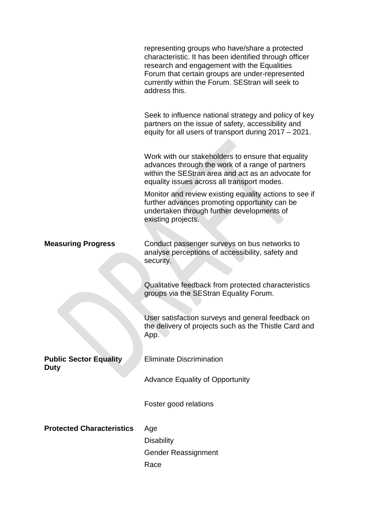|                                              | representing groups who have/share a protected<br>characteristic. It has been identified through officer<br>research and engagement with the Equalities<br>Forum that certain groups are under-represented<br>currently within the Forum. SEStran will seek to<br>address this. |
|----------------------------------------------|---------------------------------------------------------------------------------------------------------------------------------------------------------------------------------------------------------------------------------------------------------------------------------|
|                                              | Seek to influence national strategy and policy of key<br>partners on the issue of safety, accessibility and<br>equity for all users of transport during 2017 - 2021.                                                                                                            |
|                                              | Work with our stakeholders to ensure that equality<br>advances through the work of a range of partners<br>within the SEStran area and act as an advocate for<br>equality issues across all transport modes.                                                                     |
|                                              | Monitor and review existing equality actions to see if<br>further advances promoting opportunity can be<br>undertaken through further developments of<br>existing projects.                                                                                                     |
| <b>Measuring Progress</b>                    | Conduct passenger surveys on bus networks to<br>analyse perceptions of accessibility, safety and<br>security.                                                                                                                                                                   |
|                                              | Qualitative feedback from protected characteristics<br>groups via the SEStran Equality Forum.                                                                                                                                                                                   |
|                                              | User satisfaction surveys and general feedback on<br>the delivery of projects such as the Thistle Card and<br>App.                                                                                                                                                              |
| <b>Public Sector Equality</b><br><b>Duty</b> | <b>Eliminate Discrimination</b>                                                                                                                                                                                                                                                 |
|                                              | <b>Advance Equality of Opportunity</b>                                                                                                                                                                                                                                          |
|                                              | Foster good relations                                                                                                                                                                                                                                                           |
| <b>Protected Characteristics</b>             | Age<br><b>Disability</b><br><b>Gender Reassignment</b><br>Race                                                                                                                                                                                                                  |